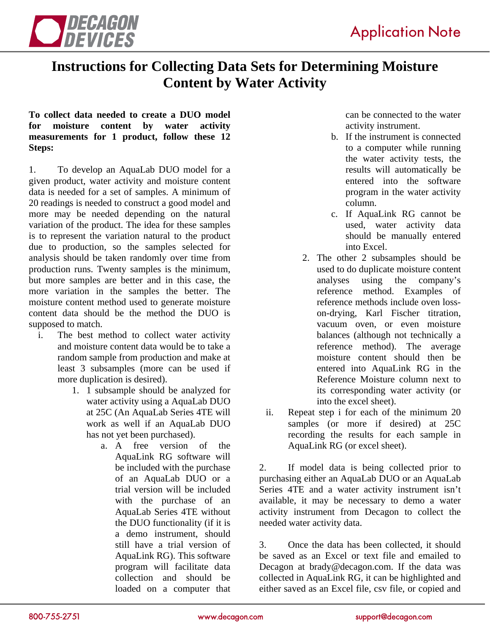

## **Instructions for Collecting Data Sets for Determining Moisture Content by Water Activity**

## **To collect data needed to create a DUO model for moisture content by water activity measurements for 1 product, follow these 12 Steps:**

1. To develop an AquaLab DUO model for a given product, water activity and moisture content data is needed for a set of samples. A minimum of 20 readings is needed to construct a good model and more may be needed depending on the natural variation of the product. The idea for these samples is to represent the variation natural to the product due to production, so the samples selected for analysis should be taken randomly over time from production runs. Twenty samples is the minimum, but more samples are better and in this case, the more variation in the samples the better. The moisture content method used to generate moisture content data should be the method the DUO is supposed to match.

- i. The best method to collect water activity and moisture content data would be to take a random sample from production and make at least 3 subsamples (more can be used if more duplication is desired).
	- 1. 1 subsample should be analyzed for water activity using a AquaLab DUO at 25C (An AquaLab Series 4TE will work as well if an AquaLab DUO has not yet been purchased).
		- a. A free version of the AquaLink RG software will be included with the purchase of an AquaLab DUO or a trial version will be included with the purchase of an AquaLab Series 4TE without the DUO functionality (if it is a demo instrument, should still have a trial version of AquaLink RG). This software program will facilitate data collection and should be loaded on a computer that

can be connected to the water activity instrument.

- b. If the instrument is connected to a computer while running the water activity tests, the results will automatically be entered into the software program in the water activity column.
- c. If AquaLink RG cannot be used, water activity data should be manually entered into Excel.
- 2. The other 2 subsamples should be used to do duplicate moisture content analyses using the company's reference method. Examples of reference methods include oven losson-drying, Karl Fischer titration, vacuum oven, or even moisture balances (although not technically a reference method). The average moisture content should then be entered into AquaLink RG in the Reference Moisture column next to its corresponding water activity (or into the excel sheet).
- ii. Repeat step i for each of the minimum 20 samples (or more if desired) at 25C recording the results for each sample in AquaLink RG (or excel sheet).

2. If model data is being collected prior to purchasing either an AquaLab DUO or an AquaLab Series 4TE and a water activity instrument isn't available, it may be necessary to demo a water activity instrument from Decagon to collect the needed water activity data.

3. Once the data has been collected, it should be saved as an Excel or text file and emailed to Decagon at brady@decagon.com. If the data was collected in AquaLink RG, it can be highlighted and either saved as an Excel file, csv file, or copied and